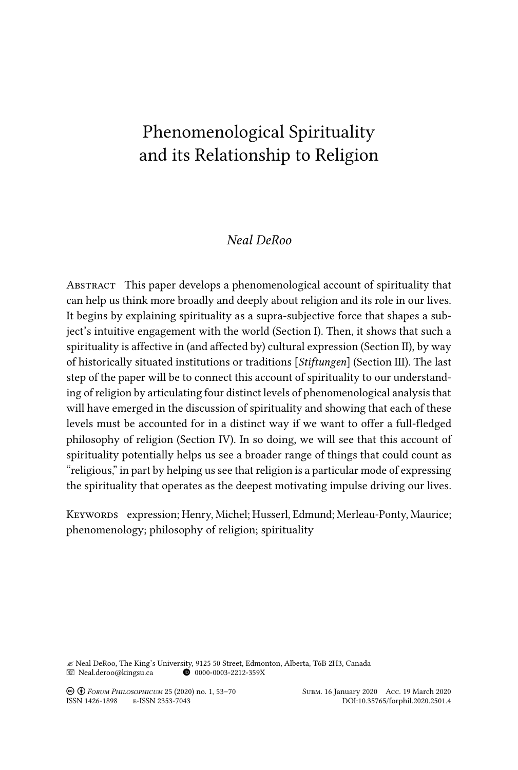# Phenomenological Spirituality and its Relationship to Religion

# *Neal DeRoo*

Abstract This paper develops a phenomenological account of spirituality that can help us think more broadly and deeply about religion and its role in our lives. It begins by explaining spirituality as a supra-subjective force that shapes a subject's intuitive engagement with the world (Section I). Then, it shows that such a spirituality is affective in (and affected by) cultural expression (Section II), by way of historically situated institutions or traditions [*Stiftungen*] (Section III). The last step of the paper will be to connect this account of spirituality to our understanding of religion by articulating four distinct levels of phenomenological analysis that will have emerged in the discussion of spirituality and showing that each of these levels must be accounted for in a distinct way if we want to offer a full-fledged philosophy of religion (Section IV). In so doing, we will see that this account of spirituality potentially helps us see a broader range of things that could count as "religious," in part by helping us see that religion is a particular mode of expressing the spirituality that operates as the deepest motivating impulse driving our lives.

Keywords expression; Henry, Michel; Husserl, Edmund; Merleau-Ponty, Maurice; phenomenology; philosophy of religion; spirituality

 $\ll$  Neal DeRoo, The King's University, 9125 50 Street, Edmonton, Alberta, T6B 2H3, Canada<br>  $\blacksquare$  Neal.deroo@kingsu.ca  $\blacksquare$  0000-0003-2212-359X  $\blacksquare$  Neal.deroo@kingsu.ca

! " *Forum Philosophicum* 25 (2020) no. 1, 53–70 Subm. 16 January 2020 Acc. 19 March 2020

DOI:10.35765/forphil.2020.2501.4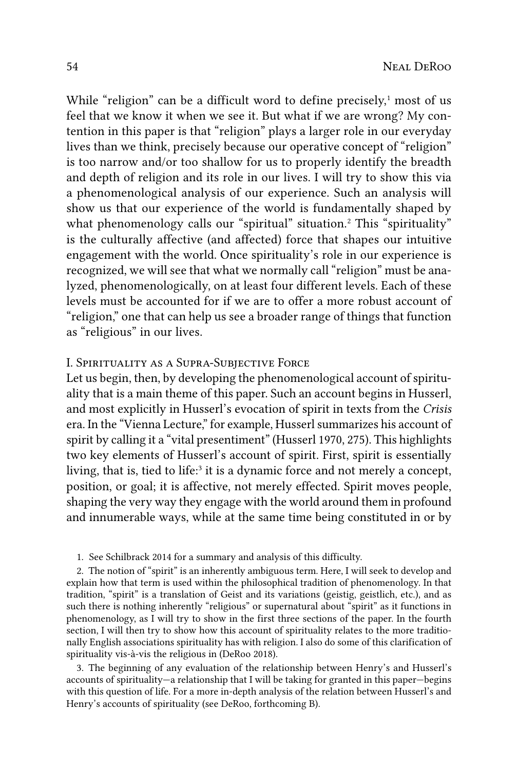While "religion" can be a difficult word to define precisely,<sup>1</sup> most of us feel that we know it when we see it. But what if we are wrong? My contention in this paper is that "religion" plays a larger role in our everyday lives than we think, precisely because our operative concept of "religion" is too narrow and/or too shallow for us to properly identify the breadth and depth of religion and its role in our lives. I will try to show this via a phenomenological analysis of our experience. Such an analysis will show us that our experience of the world is fundamentally shaped by what phenomenology calls our "spiritual" situation.2 This "spirituality" is the culturally affective (and affected) force that shapes our intuitive engagement with the world. Once spirituality's role in our experience is recognized, we will see that what we normally call "religion" must be analyzed, phenomenologically, on at least four different levels. Each of these levels must be accounted for if we are to offer a more robust account of "religion," one that can help us see a broader range of things that function as "religious" in our lives.

## I. Spirituality as a Supra-Subjective Force

Let us begin, then, by developing the phenomenological account of spirituality that is a main theme of this paper. Such an account begins in Husserl, and most explicitly in Husserl's evocation of spirit in texts from the *Crisis* era. In the "Vienna Lecture," for example, Husserl summarizes his account of spirit by calling it a "vital presentiment" (Husserl 1970, 275). This highlights two key elements of Husserl's account of spirit. First, spirit is essentially living, that is, tied to life:<sup>3</sup> it is a dynamic force and not merely a concept, position, or goal; it is affective, not merely effected. Spirit moves people, shaping the very way they engage with the world around them in profound and innumerable ways, while at the same time being constituted in or by

1. See Schilbrack 2014 for a summary and analysis of this difficulty.

2. The notion of "spirit" is an inherently ambiguous term. Here, I will seek to develop and explain how that term is used within the philosophical tradition of phenomenology. In that tradition, "spirit" is a translation of Geist and its variations (geistig, geistlich, etc.), and as such there is nothing inherently "religious" or supernatural about "spirit" as it functions in phenomenology, as I will try to show in the first three sections of the paper. In the fourth section, I will then try to show how this account of spirituality relates to the more traditionally English associations spirituality has with religion. I also do some of this clarification of spirituality vis-à-vis the religious in (DeRoo 2018).

3. The beginning of any evaluation of the relationship between Henry's and Husserl's accounts of spirituality—a relationship that I will be taking for granted in this paper—begins with this question of life. For a more in-depth analysis of the relation between Husserl's and Henry's accounts of spirituality (see DeRoo, forthcoming B).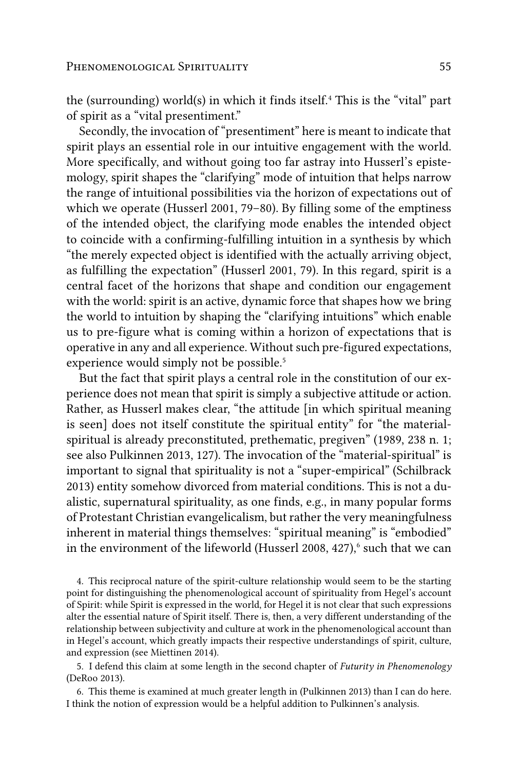the (surrounding) world(s) in which it finds itself.<sup>4</sup> This is the "vital" part of spirit as a "vital presentiment."

Secondly, the invocation of "presentiment" here is meant to indicate that spirit plays an essential role in our intuitive engagement with the world. More specifically, and without going too far astray into Husserl's epistemology, spirit shapes the "clarifying" mode of intuition that helps narrow the range of intuitional possibilities via the horizon of expectations out of which we operate (Husserl 2001, 79–80). By filling some of the emptiness of the intended object, the clarifying mode enables the intended object to coincide with a confirming-fulfilling intuition in a synthesis by which "the merely expected object is identified with the actually arriving object, as fulfilling the expectation" (Husserl 2001, 79). In this regard, spirit is a central facet of the horizons that shape and condition our engagement with the world: spirit is an active, dynamic force that shapes how we bring the world to intuition by shaping the "clarifying intuitions" which enable us to pre-figure what is coming within a horizon of expectations that is operative in any and all experience. Without such pre-figured expectations, experience would simply not be possible.<sup>5</sup>

But the fact that spirit plays a central role in the constitution of our experience does not mean that spirit is simply a subjective attitude or action. Rather, as Husserl makes clear, "the attitude [in which spiritual meaning is seen] does not itself constitute the spiritual entity" for "the materialspiritual is already preconstituted, prethematic, pregiven" (1989, 238 n. 1; see also Pulkinnen 2013, 127). The invocation of the "material-spiritual" is important to signal that spirituality is not a "super-empirical" (Schilbrack 2013) entity somehow divorced from material conditions. This is not a dualistic, supernatural spirituality, as one finds, e.g., in many popular forms of Protestant Christian evangelicalism, but rather the very meaningfulness inherent in material things themselves: "spiritual meaning" is "embodied" in the environment of the lifeworld (Husserl 2008, 427), $\delta$  such that we can

4. This reciprocal nature of the spirit-culture relationship would seem to be the starting point for distinguishing the phenomenological account of spirituality from Hegel's account of Spirit: while Spirit is expressed in the world, for Hegel it is not clear that such expressions alter the essential nature of Spirit itself. There is, then, a very different understanding of the relationship between subjectivity and culture at work in the phenomenological account than in Hegel's account, which greatly impacts their respective understandings of spirit, culture, and expression (see Miettinen 2014).

5. I defend this claim at some length in the second chapter of *Futurity in Phenomenology* (DeRoo 2013).

6. This theme is examined at much greater length in (Pulkinnen 2013) than I can do here. I think the notion of expression would be a helpful addition to Pulkinnen's analysis.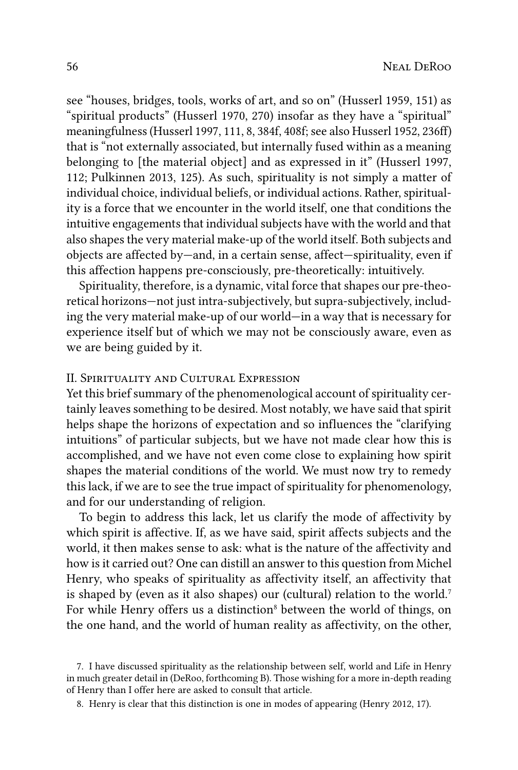see "houses, bridges, tools, works of art, and so on" (Husserl 1959, 151) as "spiritual products" (Husserl 1970, 270) insofar as they have a "spiritual" meaningfulness (Husserl 1997, 111, 8, 384f, 408f; see also Husserl 1952, 236ff) that is "not externally associated, but internally fused within as a meaning belonging to [the material object] and as expressed in it" (Husserl 1997, 112; Pulkinnen 2013, 125). As such, spirituality is not simply a matter of individual choice, individual beliefs, or individual actions. Rather, spirituality is a force that we encounter in the world itself, one that conditions the intuitive engagements that individual subjects have with the world and that also shapes the very material make-up of the world itself. Both subjects and objects are affected by—and, in a certain sense, affect—spirituality, even if this affection happens pre-consciously, pre-theoretically: intuitively.

Spirituality, therefore, is a dynamic, vital force that shapes our pre-theoretical horizons—not just intra-subjectively, but supra-subjectively, including the very material make-up of our world—in a way that is necessary for experience itself but of which we may not be consciously aware, even as we are being guided by it.

## II. Spirituality and Cultural Expression

Yet this brief summary of the phenomenological account of spirituality certainly leaves something to be desired. Most notably, we have said that spirit helps shape the horizons of expectation and so influences the "clarifying intuitions" of particular subjects, but we have not made clear how this is accomplished, and we have not even come close to explaining how spirit shapes the material conditions of the world. We must now try to remedy this lack, if we are to see the true impact of spirituality for phenomenology, and for our understanding of religion.

To begin to address this lack, let us clarify the mode of affectivity by which spirit is affective. If, as we have said, spirit affects subjects and the world, it then makes sense to ask: what is the nature of the affectivity and how is it carried out? One can distill an answer to this question from Michel Henry, who speaks of spirituality as affectivity itself, an affectivity that is shaped by (even as it also shapes) our (cultural) relation to the world.<sup>7</sup> For while Henry offers us a distinction<sup>8</sup> between the world of things, on the one hand, and the world of human reality as affectivity, on the other,

<sup>7.</sup> I have discussed spirituality as the relationship between self, world and Life in Henry in much greater detail in (DeRoo, forthcoming B). Those wishing for a more in-depth reading of Henry than I offer here are asked to consult that article.

<sup>8.</sup> Henry is clear that this distinction is one in modes of appearing (Henry 2012, 17).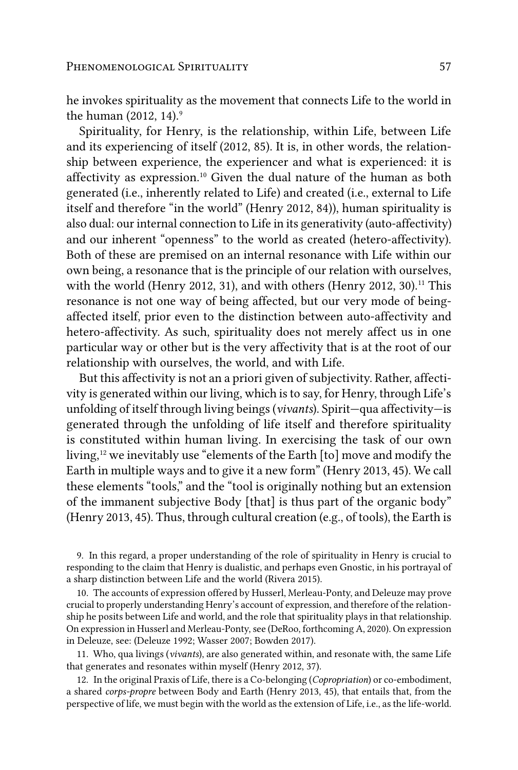he invokes spirituality as the movement that connects Life to the world in the human (2012, 14).<sup>9</sup>

Spirituality, for Henry, is the relationship, within Life, between Life and its experiencing of itself (2012, 85). It is, in other words, the relationship between experience, the experiencer and what is experienced: it is affectivity as expression.<sup>10</sup> Given the dual nature of the human as both generated (i.e., inherently related to Life) and created (i.e., external to Life itself and therefore "in the world" (Henry 2012, 84)), human spirituality is also dual: our internal connection to Life in its generativity (auto-affectivity) and our inherent "openness" to the world as created (hetero-affectivity). Both of these are premised on an internal resonance with Life within our own being, a resonance that is the principle of our relation with ourselves, with the world (Henry 2012, 31), and with others (Henry 2012, 30).<sup>11</sup> This resonance is not one way of being affected, but our very mode of beingaffected itself, prior even to the distinction between auto-affectivity and hetero-affectivity. As such, spirituality does not merely affect us in one particular way or other but is the very affectivity that is at the root of our relationship with ourselves, the world, and with Life.

But this affectivity is not an a priori given of subjectivity. Rather, affectivity is generated within our living, which is to say, for Henry, through Life's unfolding of itself through living beings (*vivants*). Spirit—qua affectivity—is generated through the unfolding of life itself and therefore spirituality is constituted within human living. In exercising the task of our own living,12 we inevitably use "elements of the Earth [to] move and modify the Earth in multiple ways and to give it a new form" (Henry 2013, 45). We call these elements "tools," and the "tool is originally nothing but an extension of the immanent subjective Body [that] is thus part of the organic body" (Henry 2013, 45). Thus, through cultural creation (e.g., of tools), the Earth is

9. In this regard, a proper understanding of the role of spirituality in Henry is crucial to responding to the claim that Henry is dualistic, and perhaps even Gnostic, in his portrayal of a sharp distinction between Life and the world (Rivera 2015).

10. The accounts of expression offered by Husserl, Merleau-Ponty, and Deleuze may prove crucial to properly understanding Henry's account of expression, and therefore of the relationship he posits between Life and world, and the role that spirituality plays in that relationship. On expression in Husserl and Merleau-Ponty, see (DeRoo, forthcoming A, 2020). On expression in Deleuze, see: (Deleuze 1992; Wasser 2007; Bowden 2017).

11. Who, qua livings (*vivants*), are also generated within, and resonate with, the same Life that generates and resonates within myself (Henry 2012, 37).

12. In the original Praxis of Life, there is a Co-belonging (*Copropriation*) or co-embodiment, a shared *corps-propre* between Body and Earth (Henry 2013, 45), that entails that, from the perspective of life, we must begin with the world as the extension of Life, i.e., as the life-world.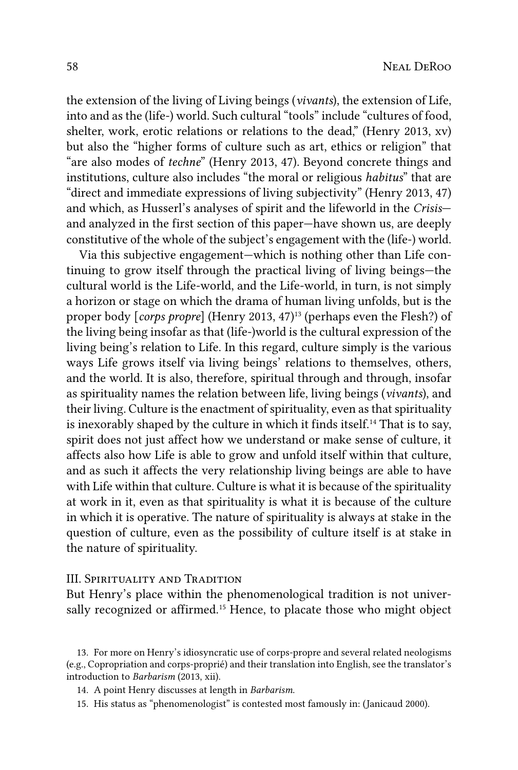the extension of the living of Living beings (*vivants*), the extension of Life, into and as the (life-) world. Such cultural "tools" include "cultures of food, shelter, work, erotic relations or relations to the dead," (Henry 2013, xv) but also the "higher forms of culture such as art, ethics or religion" that "are also modes of *techne*" (Henry 2013, 47). Beyond concrete things and institutions, culture also includes "the moral or religious *habitus*" that are "direct and immediate expressions of living subjectivity" (Henry 2013, 47) and which, as Husserl's analyses of spirit and the lifeworld in the *Crisis* and analyzed in the first section of this paper—have shown us, are deeply constitutive of the whole of the subject's engagement with the (life-) world.

Via this subjective engagement—which is nothing other than Life continuing to grow itself through the practical living of living beings—the cultural world is the Life-world, and the Life-world, in turn, is not simply a horizon or stage on which the drama of human living unfolds, but is the proper body [*corps propre*] (Henry 2013, 47)<sup>13</sup> (perhaps even the Flesh?) of the living being insofar as that (life-)world is the cultural expression of the living being's relation to Life. In this regard, culture simply is the various ways Life grows itself via living beings' relations to themselves, others, and the world. It is also, therefore, spiritual through and through, insofar as spirituality names the relation between life, living beings (*vivants*), and their living. Culture is the enactment of spirituality, even as that spirituality is inexorably shaped by the culture in which it finds itself.<sup>14</sup> That is to say, spirit does not just affect how we understand or make sense of culture, it affects also how Life is able to grow and unfold itself within that culture, and as such it affects the very relationship living beings are able to have with Life within that culture. Culture is what it is because of the spirituality at work in it, even as that spirituality is what it is because of the culture in which it is operative. The nature of spirituality is always at stake in the question of culture, even as the possibility of culture itself is at stake in the nature of spirituality.

#### III. Spirituality and Tradition

But Henry's place within the phenomenological tradition is not universally recognized or affirmed.<sup>15</sup> Hence, to placate those who might object

15. His status as "phenomenologist" is contested most famously in: (Janicaud 2000).

<sup>13.</sup> For more on Henry's idiosyncratic use of corps-propre and several related neologisms (e.g., Copropriation and corps-proprié) and their translation into English, see the translator's introduction to *Barbarism* (2013, xii).

<sup>14.</sup> A point Henry discusses at length in *Barbarism*.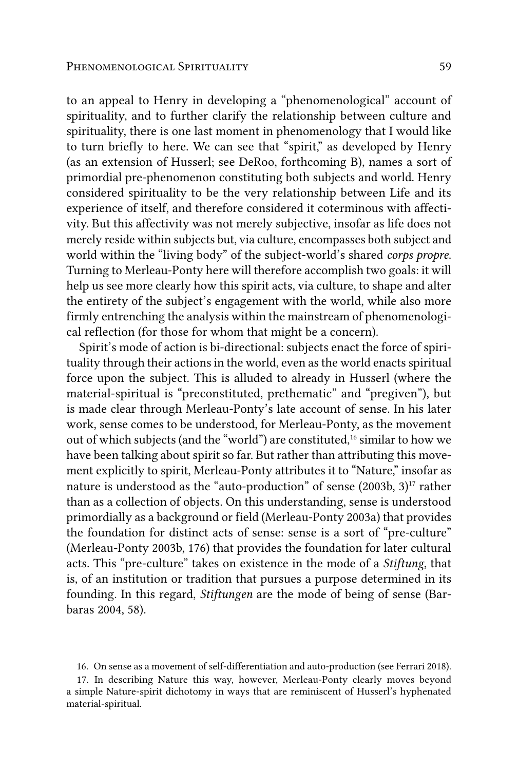to an appeal to Henry in developing a "phenomenological" account of spirituality, and to further clarify the relationship between culture and spirituality, there is one last moment in phenomenology that I would like to turn briefly to here. We can see that "spirit," as developed by Henry (as an extension of Husserl; see DeRoo, forthcoming B), names a sort of primordial pre-phenomenon constituting both subjects and world. Henry considered spirituality to be the very relationship between Life and its experience of itself, and therefore considered it coterminous with affectivity. But this affectivity was not merely subjective, insofar as life does not merely reside within subjects but, via culture, encompasses both subject and world within the "living body" of the subject-world's shared *corps propre*. Turning to Merleau-Ponty here will therefore accomplish two goals: it will help us see more clearly how this spirit acts, via culture, to shape and alter the entirety of the subject's engagement with the world, while also more firmly entrenching the analysis within the mainstream of phenomenological reflection (for those for whom that might be a concern).

Spirit's mode of action is bi-directional: subjects enact the force of spirituality through their actions in the world, even as the world enacts spiritual force upon the subject. This is alluded to already in Husserl (where the material-spiritual is "preconstituted, prethematic" and "pregiven"), but is made clear through Merleau-Ponty's late account of sense. In his later work, sense comes to be understood, for Merleau-Ponty, as the movement out of which subjects (and the "world") are constituted,<sup>16</sup> similar to how we have been talking about spirit so far. But rather than attributing this movement explicitly to spirit, Merleau-Ponty attributes it to "Nature," insofar as nature is understood as the "auto-production" of sense  $(2003b, 3)^{17}$  rather than as a collection of objects. On this understanding, sense is understood primordially as a background or field (Merleau-Ponty 2003a) that provides the foundation for distinct acts of sense: sense is a sort of "pre-culture" (Merleau-Ponty 2003b, 176) that provides the foundation for later cultural acts. This "pre-culture" takes on existence in the mode of a *Stiftung*, that is, of an institution or tradition that pursues a purpose determined in its founding. In this regard, *Stiftungen* are the mode of being of sense (Barbaras 2004, 58).

<sup>16.</sup> On sense as a movement of self-differentiation and auto-production (see Ferrari 2018).

<sup>17.</sup> In describing Nature this way, however, Merleau-Ponty clearly moves beyond a simple Nature-spirit dichotomy in ways that are reminiscent of Husserl's hyphenated material-spiritual.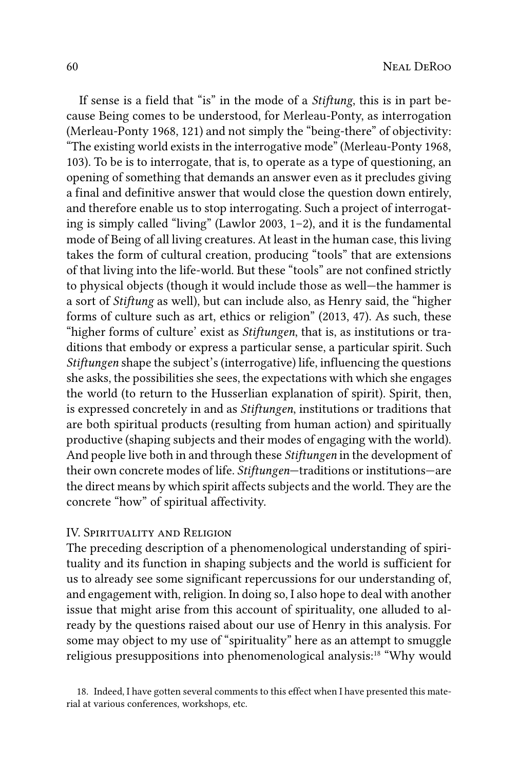If sense is a field that "is" in the mode of a *Stiftung*, this is in part because Being comes to be understood, for Merleau-Ponty, as interrogation (Merleau-Ponty 1968, 121) and not simply the "being-there" of objectivity: "The existing world exists in the interrogative mode" (Merleau-Ponty 1968, 103). To be is to interrogate, that is, to operate as a type of questioning, an opening of something that demands an answer even as it precludes giving a final and definitive answer that would close the question down entirely, and therefore enable us to stop interrogating. Such a project of interrogating is simply called "living" (Lawlor 2003, 1–2), and it is the fundamental mode of Being of all living creatures. At least in the human case, this living takes the form of cultural creation, producing "tools" that are extensions of that living into the life-world. But these "tools" are not confined strictly to physical objects (though it would include those as well—the hammer is a sort of *Stiftung* as well), but can include also, as Henry said, the "higher forms of culture such as art, ethics or religion" (2013, 47). As such, these "higher forms of culture' exist as *Stiftungen*, that is, as institutions or traditions that embody or express a particular sense, a particular spirit. Such *Stiftungen* shape the subject's (interrogative) life, influencing the questions she asks, the possibilities she sees, the expectations with which she engages the world (to return to the Husserlian explanation of spirit). Spirit, then, is expressed concretely in and as *Stiftungen*, institutions or traditions that are both spiritual products (resulting from human action) and spiritually productive (shaping subjects and their modes of engaging with the world). And people live both in and through these *Stiftungen* in the development of their own concrete modes of life. *Stiftungen*—traditions or institutions—are the direct means by which spirit affects subjects and the world. They are the concrete "how" of spiritual affectivity.

#### IV. Spirituality and Religion

The preceding description of a phenomenological understanding of spirituality and its function in shaping subjects and the world is sufficient for us to already see some significant repercussions for our understanding of, and engagement with, religion. In doing so, I also hope to deal with another issue that might arise from this account of spirituality, one alluded to already by the questions raised about our use of Henry in this analysis. For some may object to my use of "spirituality" here as an attempt to smuggle religious presuppositions into phenomenological analysis:<sup>18</sup> "Why would

18. Indeed, I have gotten several comments to this effect when I have presented this material at various conferences, workshops, etc.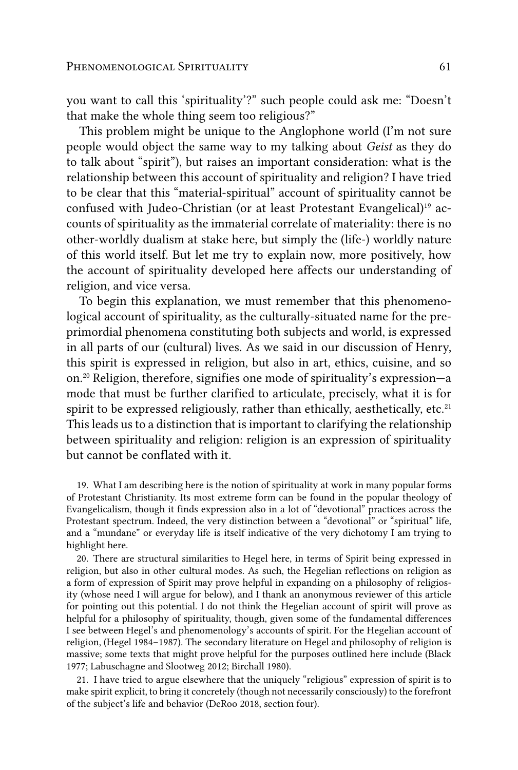that make the whole thing seem too religious?" This problem might be unique to the Anglophone world (I'm not sure people would object the same way to my talking about *Geist* as they do to talk about "spirit"), but raises an important consideration: what is the relationship between this account of spirituality and religion? I have tried to be clear that this "material-spiritual" account of spirituality cannot be confused with Judeo-Christian (or at least Protestant Evangelical)<sup>19</sup> accounts of spirituality as the immaterial correlate of materiality: there is no other-worldly dualism at stake here, but simply the (life-) worldly nature of this world itself. But let me try to explain now, more positively, how the account of spirituality developed here affects our understanding of religion, and vice versa.

To begin this explanation, we must remember that this phenomenological account of spirituality, as the culturally-situated name for the preprimordial phenomena constituting both subjects and world, is expressed in all parts of our (cultural) lives. As we said in our discussion of Henry, this spirit is expressed in religion, but also in art, ethics, cuisine, and so on.20 Religion, therefore, signifies one mode of spirituality's expression—a mode that must be further clarified to articulate, precisely, what it is for spirit to be expressed religiously, rather than ethically, aesthetically, etc.<sup>21</sup> This leads us to a distinction that is important to clarifying the relationship between spirituality and religion: religion is an expression of spirituality but cannot be conflated with it.

19. What I am describing here is the notion of spirituality at work in many popular forms of Protestant Christianity. Its most extreme form can be found in the popular theology of Evangelicalism, though it finds expression also in a lot of "devotional" practices across the Protestant spectrum. Indeed, the very distinction between a "devotional" or "spiritual" life, and a "mundane" or everyday life is itself indicative of the very dichotomy I am trying to highlight here.

20. There are structural similarities to Hegel here, in terms of Spirit being expressed in religion, but also in other cultural modes. As such, the Hegelian reflections on religion as a form of expression of Spirit may prove helpful in expanding on a philosophy of religiosity (whose need I will argue for below), and I thank an anonymous reviewer of this article for pointing out this potential. I do not think the Hegelian account of spirit will prove as helpful for a philosophy of spirituality, though, given some of the fundamental differences I see between Hegel's and phenomenology's accounts of spirit. For the Hegelian account of religion, (Hegel 1984–1987). The secondary literature on Hegel and philosophy of religion is massive; some texts that might prove helpful for the purposes outlined here include (Black 1977; Labuschagne and Slootweg 2012; Birchall 1980).

21. I have tried to argue elsewhere that the uniquely "religious" expression of spirit is to make spirit explicit, to bring it concretely (though not necessarily consciously) to the forefront of the subject's life and behavior (DeRoo 2018, section four).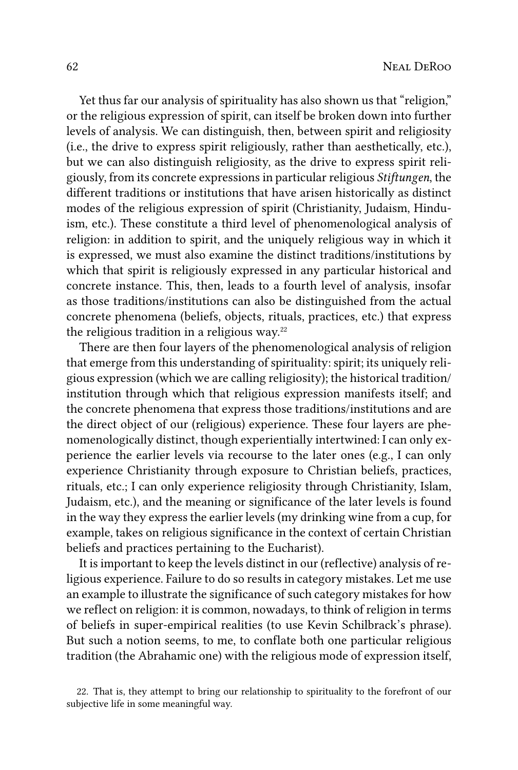Yet thus far our analysis of spirituality has also shown us that "religion," or the religious expression of spirit, can itself be broken down into further levels of analysis. We can distinguish, then, between spirit and religiosity (i.e., the drive to express spirit religiously, rather than aesthetically, etc.), but we can also distinguish religiosity, as the drive to express spirit religiously, from its concrete expressions in particular religious *Stiftungen*, the different traditions or institutions that have arisen historically as distinct modes of the religious expression of spirit (Christianity, Judaism, Hinduism, etc.). These constitute a third level of phenomenological analysis of religion: in addition to spirit, and the uniquely religious way in which it is expressed, we must also examine the distinct traditions/institutions by which that spirit is religiously expressed in any particular historical and concrete instance. This, then, leads to a fourth level of analysis, insofar as those traditions/institutions can also be distinguished from the actual concrete phenomena (beliefs, objects, rituals, practices, etc.) that express the religious tradition in a religious way. $22$ 

There are then four layers of the phenomenological analysis of religion that emerge from this understanding of spirituality: spirit; its uniquely religious expression (which we are calling religiosity); the historical tradition/ institution through which that religious expression manifests itself; and the concrete phenomena that express those traditions/institutions and are the direct object of our (religious) experience. These four layers are phenomenologically distinct, though experientially intertwined: I can only experience the earlier levels via recourse to the later ones (e.g., I can only experience Christianity through exposure to Christian beliefs, practices, rituals, etc.; I can only experience religiosity through Christianity, Islam, Judaism, etc.), and the meaning or significance of the later levels is found in the way they express the earlier levels (my drinking wine from a cup, for example, takes on religious significance in the context of certain Christian beliefs and practices pertaining to the Eucharist).

It is important to keep the levels distinct in our (reflective) analysis of religious experience. Failure to do so results in category mistakes. Let me use an example to illustrate the significance of such category mistakes for how we reflect on religion: it is common, nowadays, to think of religion in terms of beliefs in super-empirical realities (to use Kevin Schilbrack's phrase). But such a notion seems, to me, to conflate both one particular religious tradition (the Abrahamic one) with the religious mode of expression itself,

<sup>22.</sup> That is, they attempt to bring our relationship to spirituality to the forefront of our subjective life in some meaningful way.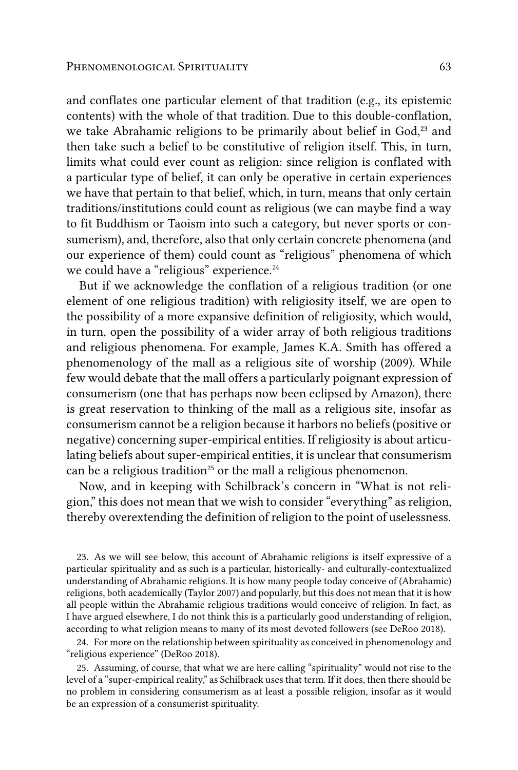and conflates one particular element of that tradition (e.g., its epistemic contents) with the whole of that tradition. Due to this double-conflation, we take Abrahamic religions to be primarily about belief in God,<sup>23</sup> and then take such a belief to be constitutive of religion itself. This, in turn, limits what could ever count as religion: since religion is conflated with a particular type of belief, it can only be operative in certain experiences we have that pertain to that belief, which, in turn, means that only certain traditions/institutions could count as religious (we can maybe find a way to fit Buddhism or Taoism into such a category, but never sports or consumerism), and, therefore, also that only certain concrete phenomena (and our experience of them) could count as "religious" phenomena of which we could have a "religious" experience.<sup>24</sup>

But if we acknowledge the conflation of a religious tradition (or one element of one religious tradition) with religiosity itself, we are open to the possibility of a more expansive definition of religiosity, which would, in turn, open the possibility of a wider array of both religious traditions and religious phenomena. For example, James K.A. Smith has offered a phenomenology of the mall as a religious site of worship (2009). While few would debate that the mall offers a particularly poignant expression of consumerism (one that has perhaps now been eclipsed by Amazon), there is great reservation to thinking of the mall as a religious site, insofar as consumerism cannot be a religion because it harbors no beliefs (positive or negative) concerning super-empirical entities. If religiosity is about articulating beliefs about super-empirical entities, it is unclear that consumerism can be a religious tradition<sup>25</sup> or the mall a religious phenomenon.

Now, and in keeping with Schilbrack's concern in "What is not religion," this does not mean that we wish to consider "everything" as religion, thereby overextending the definition of religion to the point of uselessness.

23. As we will see below, this account of Abrahamic religions is itself expressive of a particular spirituality and as such is a particular, historically- and culturally-contextualized understanding of Abrahamic religions. It is how many people today conceive of (Abrahamic) religions, both academically (Taylor 2007) and popularly, but this does not mean that it is how all people within the Abrahamic religious traditions would conceive of religion. In fact, as I have argued elsewhere, I do not think this is a particularly good understanding of religion, according to what religion means to many of its most devoted followers (see DeRoo 2018).

24. For more on the relationship between spirituality as conceived in phenomenology and "religious experience" (DeRoo 2018).

25. Assuming, of course, that what we are here calling "spirituality" would not rise to the level of a "super-empirical reality," as Schilbrack uses that term. If it does, then there should be no problem in considering consumerism as at least a possible religion, insofar as it would be an expression of a consumerist spirituality.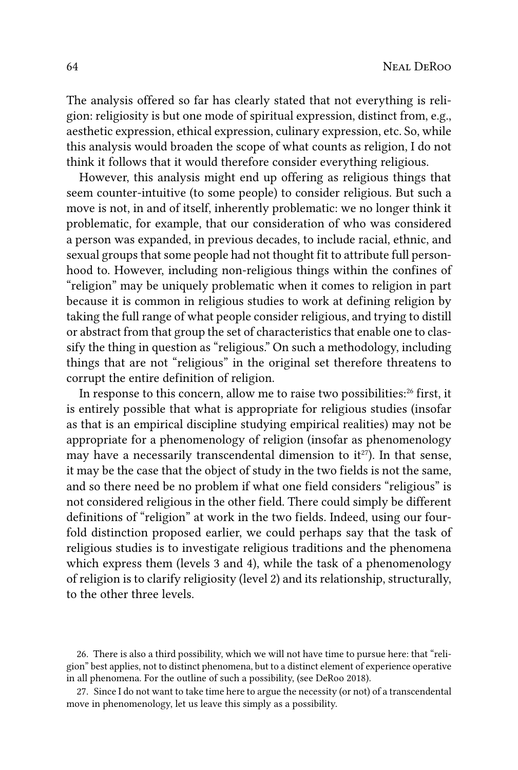The analysis offered so far has clearly stated that not everything is religion: religiosity is but one mode of spiritual expression, distinct from, e.g., aesthetic expression, ethical expression, culinary expression, etc. So, while this analysis would broaden the scope of what counts as religion, I do not think it follows that it would therefore consider everything religious.

However, this analysis might end up offering as religious things that seem counter-intuitive (to some people) to consider religious. But such a move is not, in and of itself, inherently problematic: we no longer think it problematic, for example, that our consideration of who was considered a person was expanded, in previous decades, to include racial, ethnic, and sexual groups that some people had not thought fit to attribute full personhood to. However, including non-religious things within the confines of "religion" may be uniquely problematic when it comes to religion in part because it is common in religious studies to work at defining religion by taking the full range of what people consider religious, and trying to distill or abstract from that group the set of characteristics that enable one to classify the thing in question as "religious." On such a methodology, including things that are not "religious" in the original set therefore threatens to corrupt the entire definition of religion.

In response to this concern, allow me to raise two possibilities:<sup>26</sup> first, it is entirely possible that what is appropriate for religious studies (insofar as that is an empirical discipline studying empirical realities) may not be appropriate for a phenomenology of religion (insofar as phenomenology may have a necessarily transcendental dimension to it<sup>27</sup>). In that sense, it may be the case that the object of study in the two fields is not the same, and so there need be no problem if what one field considers "religious" is not considered religious in the other field. There could simply be different definitions of "religion" at work in the two fields. Indeed, using our fourfold distinction proposed earlier, we could perhaps say that the task of religious studies is to investigate religious traditions and the phenomena which express them (levels 3 and 4), while the task of a phenomenology of religion is to clarify religiosity (level 2) and its relationship, structurally, to the other three levels.

26. There is also a third possibility, which we will not have time to pursue here: that "religion" best applies, not to distinct phenomena, but to a distinct element of experience operative in all phenomena. For the outline of such a possibility, (see DeRoo 2018).

27. Since I do not want to take time here to argue the necessity (or not) of a transcendental move in phenomenology, let us leave this simply as a possibility.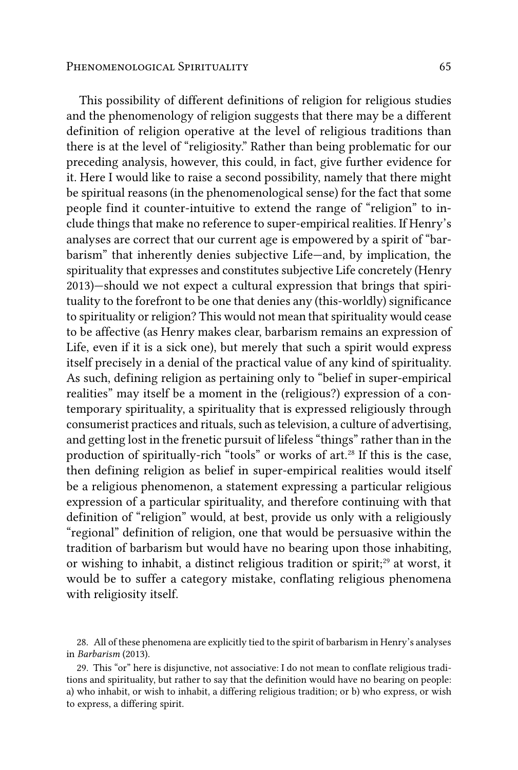#### PHENOMENOLOGICAL SPIRITUALITY 65

This possibility of different definitions of religion for religious studies and the phenomenology of religion suggests that there may be a different definition of religion operative at the level of religious traditions than there is at the level of "religiosity." Rather than being problematic for our preceding analysis, however, this could, in fact, give further evidence for it. Here I would like to raise a second possibility, namely that there might be spiritual reasons (in the phenomenological sense) for the fact that some people find it counter-intuitive to extend the range of "religion" to include things that make no reference to super-empirical realities. If Henry's analyses are correct that our current age is empowered by a spirit of "barbarism" that inherently denies subjective Life—and, by implication, the spirituality that expresses and constitutes subjective Life concretely (Henry 2013)—should we not expect a cultural expression that brings that spirituality to the forefront to be one that denies any (this-worldly) significance to spirituality or religion? This would not mean that spirituality would cease to be affective (as Henry makes clear, barbarism remains an expression of Life, even if it is a sick one), but merely that such a spirit would express itself precisely in a denial of the practical value of any kind of spirituality. As such, defining religion as pertaining only to "belief in super-empirical realities" may itself be a moment in the (religious?) expression of a contemporary spirituality, a spirituality that is expressed religiously through consumerist practices and rituals, such as television, a culture of advertising, and getting lost in the frenetic pursuit of lifeless "things" rather than in the production of spiritually-rich "tools" or works of art.<sup>28</sup> If this is the case, then defining religion as belief in super-empirical realities would itself be a religious phenomenon, a statement expressing a particular religious expression of a particular spirituality, and therefore continuing with that definition of "religion" would, at best, provide us only with a religiously "regional" definition of religion, one that would be persuasive within the tradition of barbarism but would have no bearing upon those inhabiting, or wishing to inhabit, a distinct religious tradition or spirit;<sup>29</sup> at worst, it would be to suffer a category mistake, conflating religious phenomena with religiosity itself.

28. All of these phenomena are explicitly tied to the spirit of barbarism in Henry's analyses in *Barbarism* (2013).

29. This "or" here is disjunctive, not associative: I do not mean to conflate religious traditions and spirituality, but rather to say that the definition would have no bearing on people: a) who inhabit, or wish to inhabit, a differing religious tradition; or b) who express, or wish to express, a differing spirit.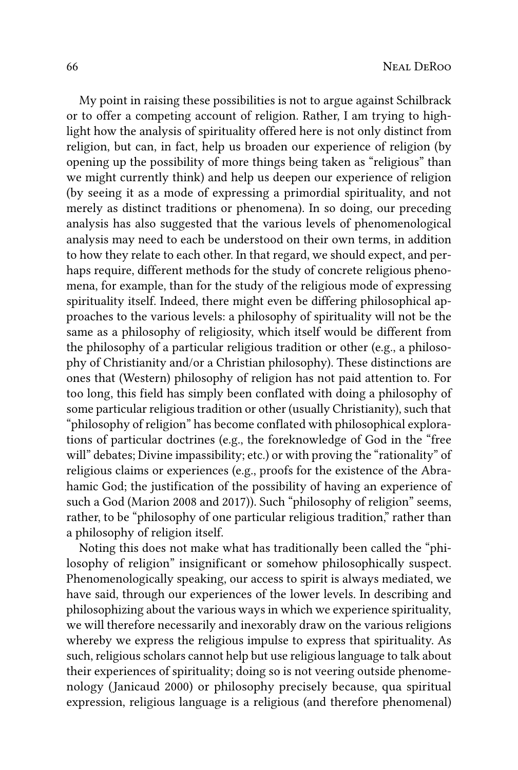My point in raising these possibilities is not to argue against Schilbrack or to offer a competing account of religion. Rather, I am trying to highlight how the analysis of spirituality offered here is not only distinct from religion, but can, in fact, help us broaden our experience of religion (by opening up the possibility of more things being taken as "religious" than we might currently think) and help us deepen our experience of religion (by seeing it as a mode of expressing a primordial spirituality, and not merely as distinct traditions or phenomena). In so doing, our preceding analysis has also suggested that the various levels of phenomenological analysis may need to each be understood on their own terms, in addition to how they relate to each other. In that regard, we should expect, and perhaps require, different methods for the study of concrete religious phenomena, for example, than for the study of the religious mode of expressing spirituality itself. Indeed, there might even be differing philosophical approaches to the various levels: a philosophy of spirituality will not be the same as a philosophy of religiosity, which itself would be different from the philosophy of a particular religious tradition or other (e.g., a philosophy of Christianity and/or a Christian philosophy). These distinctions are ones that (Western) philosophy of religion has not paid attention to. For too long, this field has simply been conflated with doing a philosophy of some particular religious tradition or other (usually Christianity), such that "philosophy of religion" has become conflated with philosophical explorations of particular doctrines (e.g., the foreknowledge of God in the "free will" debates; Divine impassibility; etc.) or with proving the "rationality" of religious claims or experiences (e.g., proofs for the existence of the Abrahamic God; the justification of the possibility of having an experience of such a God (Marion 2008 and 2017)). Such "philosophy of religion" seems, rather, to be "philosophy of one particular religious tradition," rather than a philosophy of religion itself.

Noting this does not make what has traditionally been called the "philosophy of religion" insignificant or somehow philosophically suspect. Phenomenologically speaking, our access to spirit is always mediated, we have said, through our experiences of the lower levels. In describing and philosophizing about the various ways in which we experience spirituality, we will therefore necessarily and inexorably draw on the various religions whereby we express the religious impulse to express that spirituality. As such, religious scholars cannot help but use religious language to talk about their experiences of spirituality; doing so is not veering outside phenomenology (Janicaud 2000) or philosophy precisely because, qua spiritual expression, religious language is a religious (and therefore phenomenal)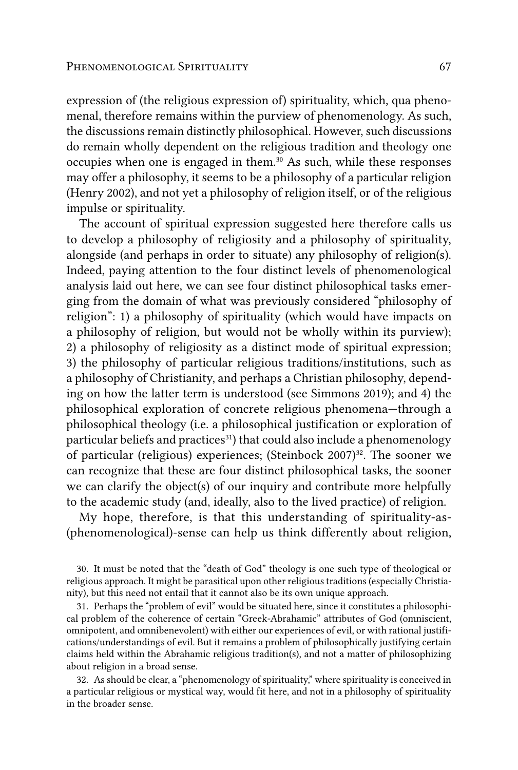expression of (the religious expression of) spirituality, which, qua phenomenal, therefore remains within the purview of phenomenology. As such, the discussions remain distinctly philosophical. However, such discussions do remain wholly dependent on the religious tradition and theology one occupies when one is engaged in them.<sup>30</sup> As such, while these responses may offer a philosophy, it seems to be a philosophy of a particular religion (Henry 2002), and not yet a philosophy of religion itself, or of the religious impulse or spirituality.

The account of spiritual expression suggested here therefore calls us to develop a philosophy of religiosity and a philosophy of spirituality, alongside (and perhaps in order to situate) any philosophy of religion(s). Indeed, paying attention to the four distinct levels of phenomenological analysis laid out here, we can see four distinct philosophical tasks emerging from the domain of what was previously considered "philosophy of religion": 1) a philosophy of spirituality (which would have impacts on a philosophy of religion, but would not be wholly within its purview); 2) a philosophy of religiosity as a distinct mode of spiritual expression; 3) the philosophy of particular religious traditions/institutions, such as a philosophy of Christianity, and perhaps a Christian philosophy, depending on how the latter term is understood (see Simmons 2019); and 4) the philosophical exploration of concrete religious phenomena—through a philosophical theology (i.e. a philosophical justification or exploration of particular beliefs and practices<sup>31</sup>) that could also include a phenomenology of particular (religious) experiences; (Steinbock 2007)32. The sooner we can recognize that these are four distinct philosophical tasks, the sooner we can clarify the object(s) of our inquiry and contribute more helpfully to the academic study (and, ideally, also to the lived practice) of religion.

My hope, therefore, is that this understanding of spirituality-as- (phenomenological)-sense can help us think differently about religion,

30. It must be noted that the "death of God" theology is one such type of theological or religious approach. It might be parasitical upon other religious traditions (especially Christianity), but this need not entail that it cannot also be its own unique approach.

31. Perhaps the "problem of evil" would be situated here, since it constitutes a philosophical problem of the coherence of certain "Greek-Abrahamic" attributes of God (omniscient, omnipotent, and omnibenevolent) with either our experiences of evil, or with rational justifications/understandings of evil. But it remains a problem of philosophically justifying certain claims held within the Abrahamic religious tradition(s), and not a matter of philosophizing about religion in a broad sense.

32. As should be clear, a "phenomenology of spirituality," where spirituality is conceived in a particular religious or mystical way, would fit here, and not in a philosophy of spirituality in the broader sense.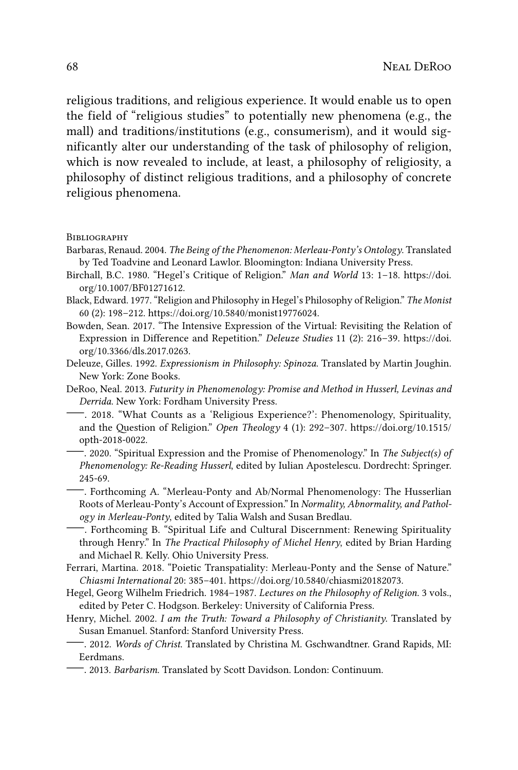religious traditions, and religious experience. It would enable us to open the field of "religious studies" to potentially new phenomena (e.g., the mall) and traditions/institutions (e.g., consumerism), and it would significantly alter our understanding of the task of philosophy of religion, which is now revealed to include, at least, a philosophy of religiosity, a philosophy of distinct religious traditions, and a philosophy of concrete religious phenomena.

**BIBLIOGRAPHY** 

- Barbaras, Renaud. 2004. *The Being of the Phenomenon: Merleau-Ponty's Ontology*. Translated by Ted Toadvine and Leonard Lawlor. Bloomington: Indiana University Press.
- Birchall, B.C. 1980. "Hegel's Critique of Religion." *Man and World* 13: 1–18. [https://doi.](https://doi.org/10.1007/BF01271612) [org/10.1007/BF01271612](https://doi.org/10.1007/BF01271612).
- Black, Edward. 1977. "Religion and Philosophy in Hegel's Philosophy of Religion." *The Monist* 60 (2): 198–212. [https://doi.org/10.5840/monist19776024.](https://doi.org/10.5840/monist19776024)
- Bowden, Sean. 2017. "The Intensive Expression of the Virtual: Revisiting the Relation of Expression in Difference and Repetition." *Deleuze Studies* 11 (2): 216–39. [https://doi.](https://doi.org/10.3366/dls.2017.0263) [org/10.3366/dls.2017.0263.](https://doi.org/10.3366/dls.2017.0263)
- Deleuze, Gilles. 1992. *Expressionism in Philosophy: Spinoza*. Translated by Martin Joughin. New York: Zone Books.
- DeRoo, Neal. 2013. *Futurity in Phenomenology: Promise and Method in Husserl, Levinas and Derrida*. New York: Fordham University Press.
- —. 2018. "What Counts as a 'Religious Experience?': Phenomenology, Spirituality, and the Question of Religion." *Open Theology* 4 (1): 292–307. [https://doi.org/10.1515/](https://doi.org/10.1515/opth-2018-0022) [opth-2018-0022](https://doi.org/10.1515/opth-2018-0022).
	- —. 2020. "Spiritual Expression and the Promise of Phenomenology." In *The Subject(s) of Phenomenology: Re-Reading Husserl*, edited by Iulian Apostelescu. Dordrecht: Springer. 245-69.
	- —. Forthcoming A. "Merleau-Ponty and Ab/Normal Phenomenology: The Husserlian Roots of Merleau-Ponty's Account of Expression." In *Normality, Abnormality, and Pathology in Merleau-Ponty*, edited by Talia Walsh and Susan Bredlau.
- —. Forthcoming B. "Spiritual Life and Cultural Discernment: Renewing Spirituality through Henry." In *The Practical Philosophy of Michel Henry*, edited by Brian Harding and Michael R. Kelly. Ohio University Press.
- Ferrari, Martina. 2018. "Poietic Transpatiality: Merleau-Ponty and the Sense of Nature." *Chiasmi International* 20: 385–401. [https://doi.org/10.5840/chiasmi20182073.](https://doi.org/10.5840/chiasmi20182073)
- Hegel, Georg Wilhelm Friedrich. 1984–1987. *Lectures on the Philosophy of Religion*. 3 vols., edited by Peter C. Hodgson. Berkeley: University of California Press.
- Henry, Michel. 2002. *I am the Truth: Toward a Philosophy of Christianity*. Translated by Susan Emanuel. Stanford: Stanford University Press.
- —. 2012. *Words of Christ*. Translated by Christina M. Gschwandtner. Grand Rapids, MI: Eerdmans.
- —. 2013. *Barbarism*. Translated by Scott Davidson. London: Continuum.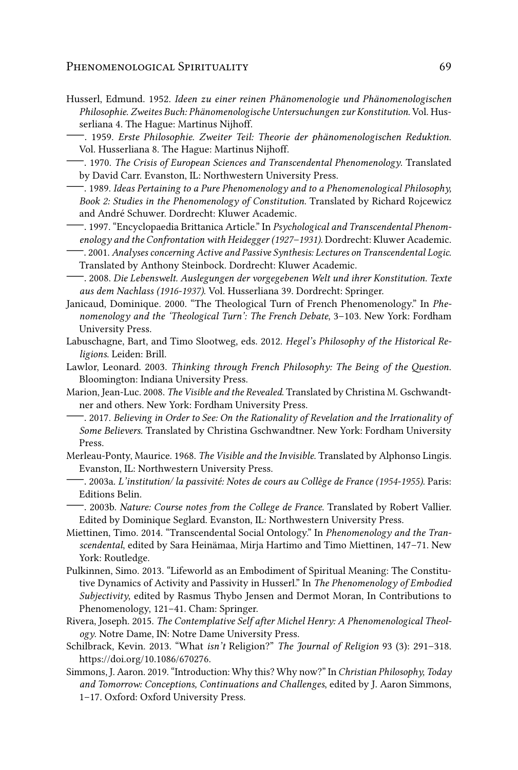## PHENOMENOLOGICAL SPIRITUALITY 69

- Husserl, Edmund. 1952. *Ideen zu einer reinen Phänomenologie und Phänomenologischen Philosophie. Zweites Buch: Phänomenologische Untersuchungen zur Konstitution*. Vol. Husserliana 4. The Hague: Martinus Nijhoff.
	- —. 1959. *Erste Philosophie. Zweiter Teil: Theorie der phänomenologischen Reduktion*. Vol. Husserliana 8. The Hague: Martinus Nijhoff.
- —. 1970. *The Crisis of European Sciences and Transcendental Phenomenology*. Translated by David Carr. Evanston, IL: Northwestern University Press.
- —. 1989. *Ideas Pertaining to a Pure Phenomenology and to a Phenomenological Philosophy, Book 2: Studies in the Phenomenology of Constitution*. Translated by Richard Rojcewicz and André Schuwer. Dordrecht: Kluwer Academic.
- —. 1997. "Encyclopaedia Brittanica Article." In *Psychological and Transcendental Phenomenology and the Confrontation with Heidegger (1927–1931)*. Dordrecht: Kluwer Academic.
- —. 2001. *Analyses concerning Active and Passive Synthesis: Lectures on Transcendental Logic*. Translated by Anthony Steinbock. Dordrecht: Kluwer Academic.
- —. 2008. *Die Lebenswelt. Auslegungen der vorgegebenen Welt und ihrer Konstitution. Texte aus dem Nachlass (1916-1937)*. Vol. Husserliana 39. Dordrecht: Springer.
- Janicaud, Dominique. 2000. "The Theological Turn of French Phenomenology." In *Phenomenology and the 'Theological Turn': The French Debate*, 3–103. New York: Fordham University Press.
- Labuschagne, Bart, and Timo Slootweg, eds. 2012. *Hegel's Philosophy of the Historical Religions*. Leiden: Brill.
- Lawlor, Leonard. 2003. *Thinking through French Philosophy: The Being of the Question*. Bloomington: Indiana University Press.
- Marion, Jean-Luc. 2008. *The Visible and the Revealed*. Translated by Christina M. Gschwandtner and others. New York: Fordham University Press.
	- —. 2017. *Believing in Order to See: On the Rationality of Revelation and the Irrationality of Some Believers.* Translated by Christina Gschwandtner. New York: Fordham University Press.
- Merleau-Ponty, Maurice. 1968. *The Visible and the Invisible*. Translated by Alphonso Lingis. Evanston, IL: Northwestern University Press.
	- —. 2003a. *L'institution/ la passivité: Notes de cours au Collège de France (1954-1955)*. Paris: Editions Belin.
- —. 2003b. *Nature: Course notes from the College de France*. Translated by Robert Vallier. Edited by Dominique Seglard. Evanston, IL: Northwestern University Press.
- Miettinen, Timo. 2014. "Transcendental Social Ontology." In *Phenomenology and the Transcendental*, edited by Sara Heinämaa, Mirja Hartimo and Timo Miettinen, 147–71. New York: Routledge.
- Pulkinnen, Simo. 2013. "Lifeworld as an Embodiment of Spiritual Meaning: The Constitutive Dynamics of Activity and Passivity in Husserl." In *The Phenomenology of Embodied Subjectivity*, edited by Rasmus Thybo Jensen and Dermot Moran, In Contributions to Phenomenology, 121–41. Cham: Springer.
- Rivera, Joseph. 2015. *The Contemplative Self after Michel Henry: A Phenomenological Theology*. Notre Dame, IN: Notre Dame University Press.
- Schilbrack, Kevin. 2013. "What *isn't* Religion?" *The Journal of Religion* 93 (3): 291–318. <https://doi.org/10.1086/670276>.
- Simmons, J. Aaron. 2019. "Introduction: Why this? Why now?" In *Christian Philosophy, Today and Tomorrow: Conceptions, Continuations and Challenges*, edited by J. Aaron Simmons, 1–17. Oxford: Oxford University Press.